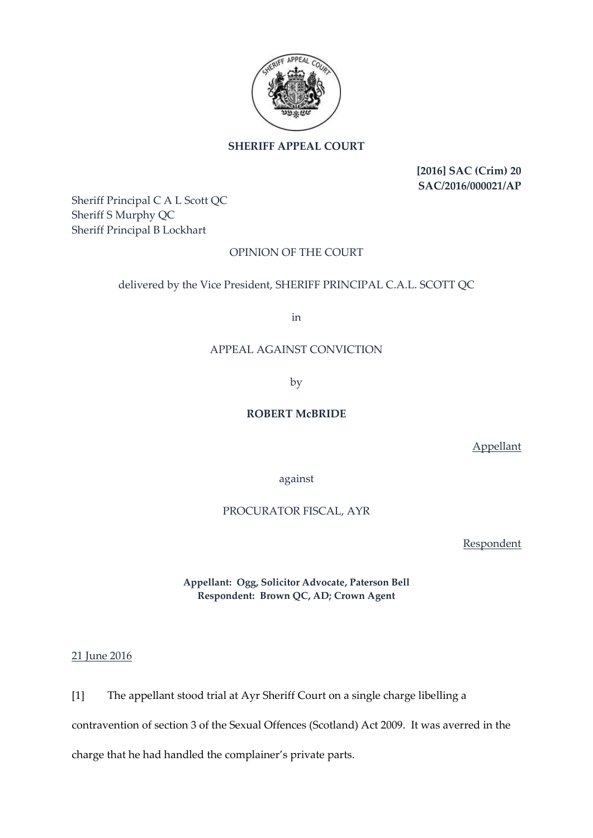

# **SHERIFF APPEAL COURT**

**[2016] SAC (Crim) 20 SAC/2016/000021/AP**

Sheriff Principal C A L Scott QC Sheriff S Murphy QC Sheriff Principal B Lockhart

# OPINION OF THE COURT

## delivered by the Vice President, SHERIFF PRINCIPAL C.A.L. SCOTT QC

in

## APPEAL AGAINST CONVICTION

by

### **ROBERT McBRIDE**

Appellant

against

## PROCURATOR FISCAL, AYR

**Respondent** 

**Appellant: Ogg, Solicitor Advocate, Paterson Bell Respondent: Brown QC, AD; Crown Agent**

21 June 2016

[1] The appellant stood trial at Ayr Sheriff Court on a single charge libelling a

contravention of section 3 of the Sexual Offences (Scotland) Act 2009. It was averred in the

charge that he had handled the complainer's private parts.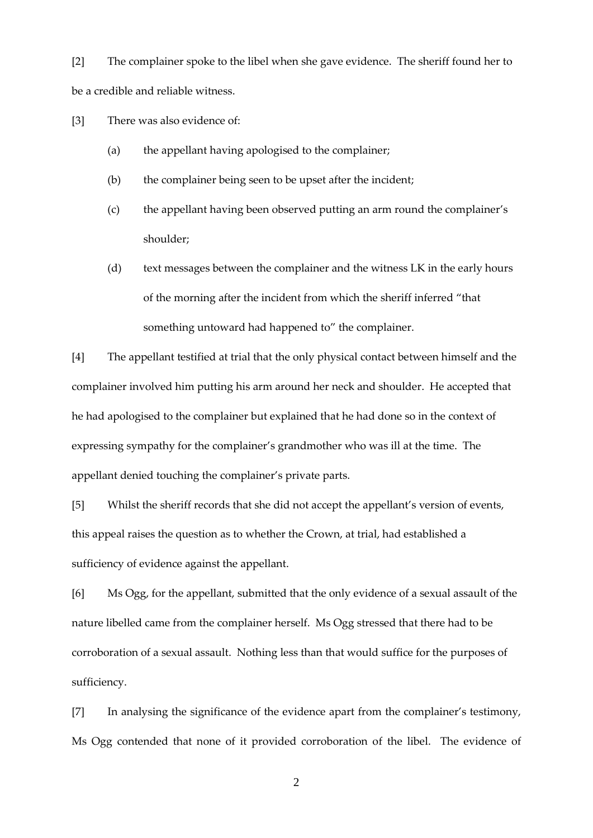[2] The complainer spoke to the libel when she gave evidence. The sheriff found her to be a credible and reliable witness.

[3] There was also evidence of:

- (a) the appellant having apologised to the complainer;
- (b) the complainer being seen to be upset after the incident;
- (c) the appellant having been observed putting an arm round the complainer's shoulder;
- (d) text messages between the complainer and the witness LK in the early hours of the morning after the incident from which the sheriff inferred "that something untoward had happened to" the complainer.

[4] The appellant testified at trial that the only physical contact between himself and the complainer involved him putting his arm around her neck and shoulder. He accepted that he had apologised to the complainer but explained that he had done so in the context of expressing sympathy for the complainer's grandmother who was ill at the time. The appellant denied touching the complainer's private parts.

[5] Whilst the sheriff records that she did not accept the appellant's version of events, this appeal raises the question as to whether the Crown, at trial, had established a sufficiency of evidence against the appellant.

[6] Ms Ogg, for the appellant, submitted that the only evidence of a sexual assault of the nature libelled came from the complainer herself. Ms Ogg stressed that there had to be corroboration of a sexual assault. Nothing less than that would suffice for the purposes of sufficiency.

[7] In analysing the significance of the evidence apart from the complainer's testimony, Ms Ogg contended that none of it provided corroboration of the libel. The evidence of

2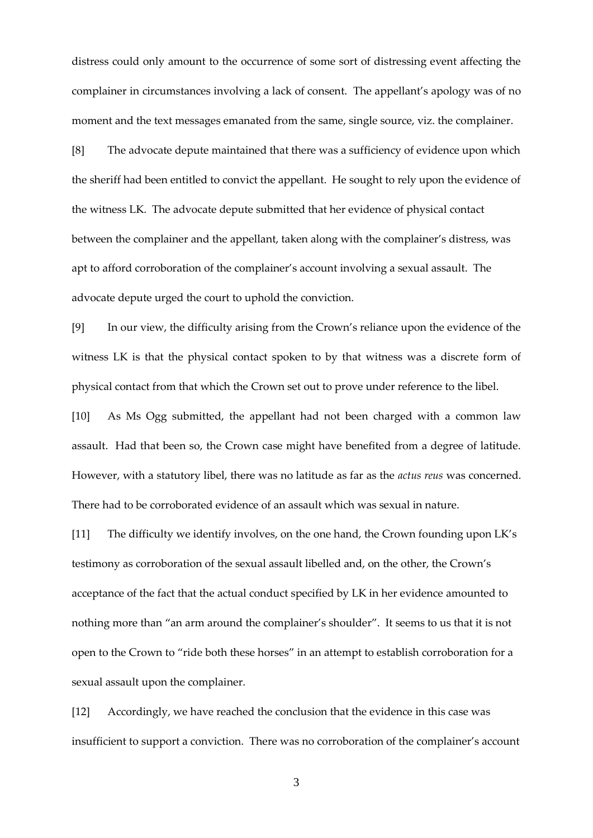distress could only amount to the occurrence of some sort of distressing event affecting the complainer in circumstances involving a lack of consent. The appellant's apology was of no moment and the text messages emanated from the same, single source, viz. the complainer.

[8] The advocate depute maintained that there was a sufficiency of evidence upon which the sheriff had been entitled to convict the appellant. He sought to rely upon the evidence of the witness LK. The advocate depute submitted that her evidence of physical contact between the complainer and the appellant, taken along with the complainer's distress, was apt to afford corroboration of the complainer's account involving a sexual assault. The advocate depute urged the court to uphold the conviction.

[9] In our view, the difficulty arising from the Crown's reliance upon the evidence of the witness LK is that the physical contact spoken to by that witness was a discrete form of physical contact from that which the Crown set out to prove under reference to the libel.

[10] As Ms Ogg submitted, the appellant had not been charged with a common law assault. Had that been so, the Crown case might have benefited from a degree of latitude. However, with a statutory libel, there was no latitude as far as the *actus reus* was concerned. There had to be corroborated evidence of an assault which was sexual in nature.

[11] The difficulty we identify involves, on the one hand, the Crown founding upon LK's testimony as corroboration of the sexual assault libelled and, on the other, the Crown's acceptance of the fact that the actual conduct specified by LK in her evidence amounted to nothing more than "an arm around the complainer's shoulder". It seems to us that it is not open to the Crown to "ride both these horses" in an attempt to establish corroboration for a sexual assault upon the complainer.

[12] Accordingly, we have reached the conclusion that the evidence in this case was insufficient to support a conviction. There was no corroboration of the complainer's account

3